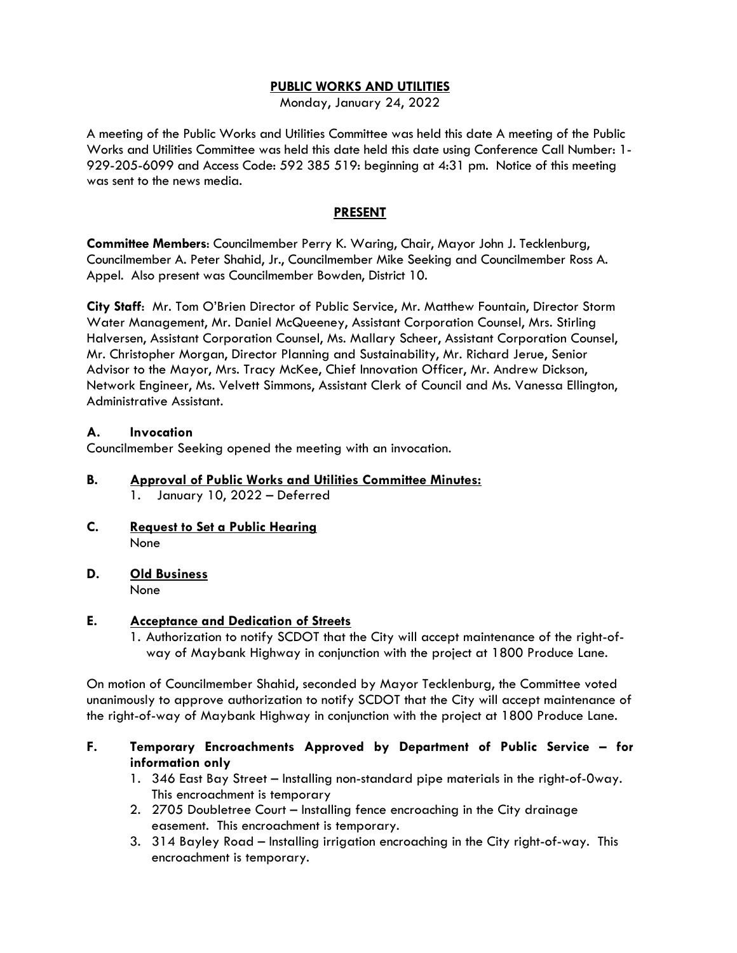#### **PUBLIC WORKS AND UTILITIES**

Monday, January 24, 2022

A meeting of the Public Works and Utilities Committee was held this date A meeting of the Public Works and Utilities Committee was held this date held this date using Conference Call Number: 1- 929-205-6099 and Access Code: 592 385 519: beginning at 4:31 pm. Notice of this meeting was sent to the news media.

#### **PRESENT**

**Committee Members**: Councilmember Perry K. Waring, Chair, Mayor John J. Tecklenburg, Councilmember A. Peter Shahid, Jr., Councilmember Mike Seeking and Councilmember Ross A. Appel. Also present was Councilmember Bowden, District 10.

**City Staff**: Mr. Tom O'Brien Director of Public Service, Mr. Matthew Fountain, Director Storm Water Management, Mr. Daniel McQueeney, Assistant Corporation Counsel, Mrs. Stirling Halversen, Assistant Corporation Counsel, Ms. Mallary Scheer, Assistant Corporation Counsel, Mr. Christopher Morgan, Director Planning and Sustainability, Mr. Richard Jerue, Senior Advisor to the Mayor, Mrs. Tracy McKee, Chief Innovation Officer, Mr. Andrew Dickson, Network Engineer, Ms. Velvett Simmons, Assistant Clerk of Council and Ms. Vanessa Ellington, Administrative Assistant.

#### **A. Invocation**

Councilmember Seeking opened the meeting with an invocation.

- **B. Approval of Public Works and Utilities Committee Minutes:** 1. January 10, 2022 – Deferred
- **C. Request to Set a Public Hearing** None
- **D. Old Business** None

#### **E. Acceptance and Dedication of Streets**

1. Authorization to notify SCDOT that the City will accept maintenance of the right-ofway of Maybank Highway in conjunction with the project at 1800 Produce Lane.

On motion of Councilmember Shahid, seconded by Mayor Tecklenburg, the Committee voted unanimously to approve authorization to notify SCDOT that the City will accept maintenance of the right-of-way of Maybank Highway in conjunction with the project at 1800 Produce Lane.

- **F. Temporary Encroachments Approved by Department of Public Service for information only**
	- 1. 346 East Bay Street Installing non-standard pipe materials in the right-of-0way. This encroachment is temporary
	- 2. 2705 Doubletree Court Installing fence encroaching in the City drainage easement. This encroachment is temporary.
	- 3. 314 Bayley Road Installing irrigation encroaching in the City right-of-way. This encroachment is temporary.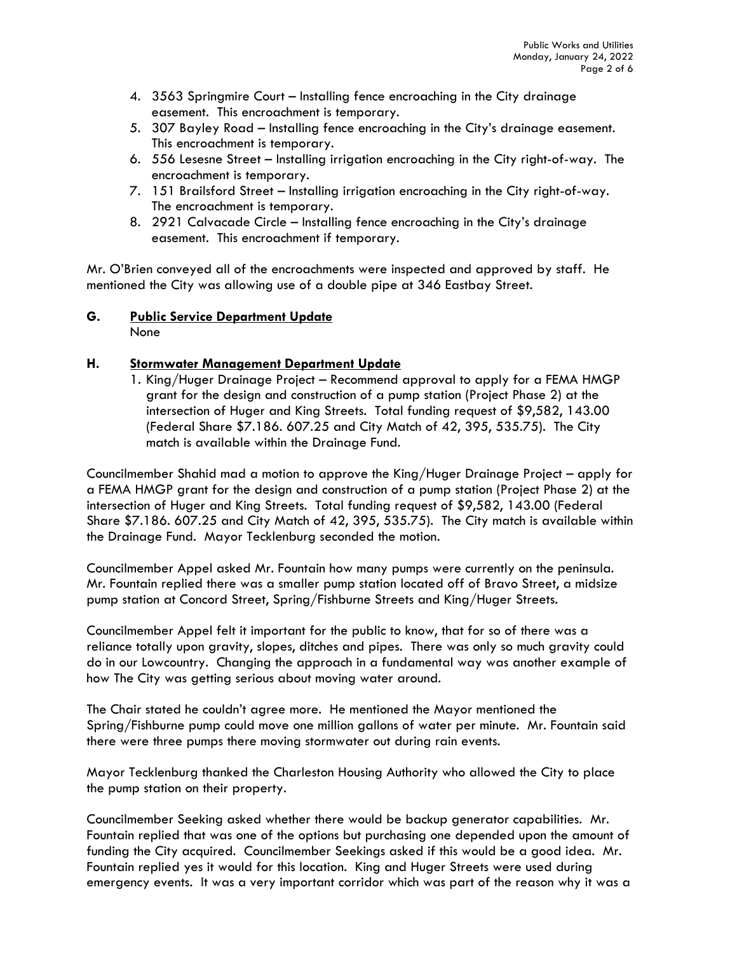- 4. 3563 Springmire Court Installing fence encroaching in the City drainage easement. This encroachment is temporary.
- 5. 307 Bayley Road Installing fence encroaching in the City's drainage easement. This encroachment is temporary.
- 6. 556 Lesesne Street Installing irrigation encroaching in the City right-of-way. The encroachment is temporary.
- 7. 151 Brailsford Street Installing irrigation encroaching in the City right-of-way. The encroachment is temporary.
- 8. 2921 Calvacade Circle Installing fence encroaching in the City's drainage easement. This encroachment if temporary.

Mr. O'Brien conveyed all of the encroachments were inspected and approved by staff. He mentioned the City was allowing use of a double pipe at 346 Eastbay Street.

# **G. Public Service Department Update**

None

## **H. Stormwater Management Department Update**

1. King/Huger Drainage Project – Recommend approval to apply for a FEMA HMGP grant for the design and construction of a pump station (Project Phase 2) at the intersection of Huger and King Streets. Total funding request of \$9,582, 143.00 (Federal Share \$7.186. 607.25 and City Match of 42, 395, 535.75). The City match is available within the Drainage Fund.

Councilmember Shahid mad a motion to approve the King/Huger Drainage Project – apply for a FEMA HMGP grant for the design and construction of a pump station (Project Phase 2) at the intersection of Huger and King Streets. Total funding request of \$9,582, 143.00 (Federal Share \$7.186. 607.25 and City Match of 42, 395, 535.75). The City match is available within the Drainage Fund. Mayor Tecklenburg seconded the motion.

Councilmember Appel asked Mr. Fountain how many pumps were currently on the peninsula. Mr. Fountain replied there was a smaller pump station located off of Bravo Street, a midsize pump station at Concord Street, Spring/Fishburne Streets and King/Huger Streets.

Councilmember Appel felt it important for the public to know, that for so of there was a reliance totally upon gravity, slopes, ditches and pipes. There was only so much gravity could do in our Lowcountry. Changing the approach in a fundamental way was another example of how The City was getting serious about moving water around.

The Chair stated he couldn't agree more. He mentioned the Mayor mentioned the Spring/Fishburne pump could move one million gallons of water per minute. Mr. Fountain said there were three pumps there moving stormwater out during rain events.

Mayor Tecklenburg thanked the Charleston Housing Authority who allowed the City to place the pump station on their property.

Councilmember Seeking asked whether there would be backup generator capabilities. Mr. Fountain replied that was one of the options but purchasing one depended upon the amount of funding the City acquired. Councilmember Seekings asked if this would be a good idea. Mr. Fountain replied yes it would for this location. King and Huger Streets were used during emergency events. It was a very important corridor which was part of the reason why it was a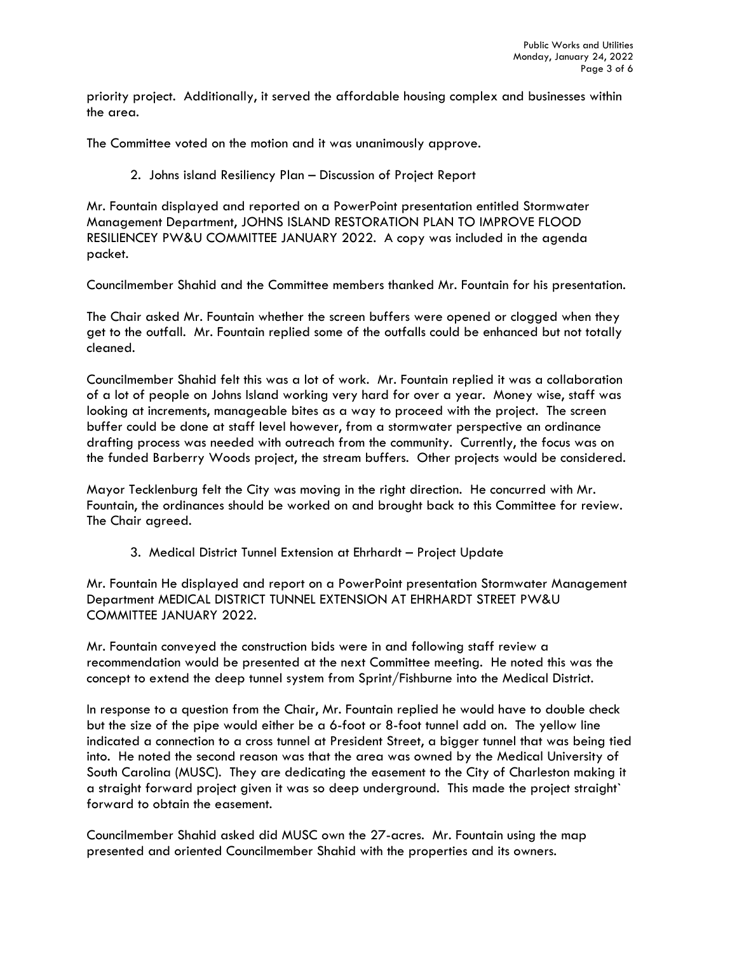priority project. Additionally, it served the affordable housing complex and businesses within the area.

The Committee voted on the motion and it was unanimously approve.

2. Johns island Resiliency Plan – Discussion of Project Report

Mr. Fountain displayed and reported on a PowerPoint presentation entitled Stormwater Management Department, JOHNS ISLAND RESTORATION PLAN TO IMPROVE FLOOD RESILIENCEY PW&U COMMITTEE JANUARY 2022. A copy was included in the agenda packet.

Councilmember Shahid and the Committee members thanked Mr. Fountain for his presentation.

The Chair asked Mr. Fountain whether the screen buffers were opened or clogged when they get to the outfall. Mr. Fountain replied some of the outfalls could be enhanced but not totally cleaned.

Councilmember Shahid felt this was a lot of work. Mr. Fountain replied it was a collaboration of a lot of people on Johns Island working very hard for over a year. Money wise, staff was looking at increments, manageable bites as a way to proceed with the project. The screen buffer could be done at staff level however, from a stormwater perspective an ordinance drafting process was needed with outreach from the community. Currently, the focus was on the funded Barberry Woods project, the stream buffers. Other projects would be considered.

Mayor Tecklenburg felt the City was moving in the right direction. He concurred with Mr. Fountain, the ordinances should be worked on and brought back to this Committee for review. The Chair agreed.

3. Medical District Tunnel Extension at Ehrhardt – Project Update

Mr. Fountain He displayed and report on a PowerPoint presentation Stormwater Management Department MEDICAL DISTRICT TUNNEL EXTENSION AT EHRHARDT STREET PW&U COMMITTEE JANUARY 2022.

Mr. Fountain conveyed the construction bids were in and following staff review a recommendation would be presented at the next Committee meeting. He noted this was the concept to extend the deep tunnel system from Sprint/Fishburne into the Medical District.

In response to a question from the Chair, Mr. Fountain replied he would have to double check but the size of the pipe would either be a 6-foot or 8-foot tunnel add on. The yellow line indicated a connection to a cross tunnel at President Street, a bigger tunnel that was being tied into. He noted the second reason was that the area was owned by the Medical University of South Carolina (MUSC). They are dedicating the easement to the City of Charleston making it a straight forward project given it was so deep underground. This made the project straight` forward to obtain the easement.

Councilmember Shahid asked did MUSC own the 27-acres. Mr. Fountain using the map presented and oriented Councilmember Shahid with the properties and its owners.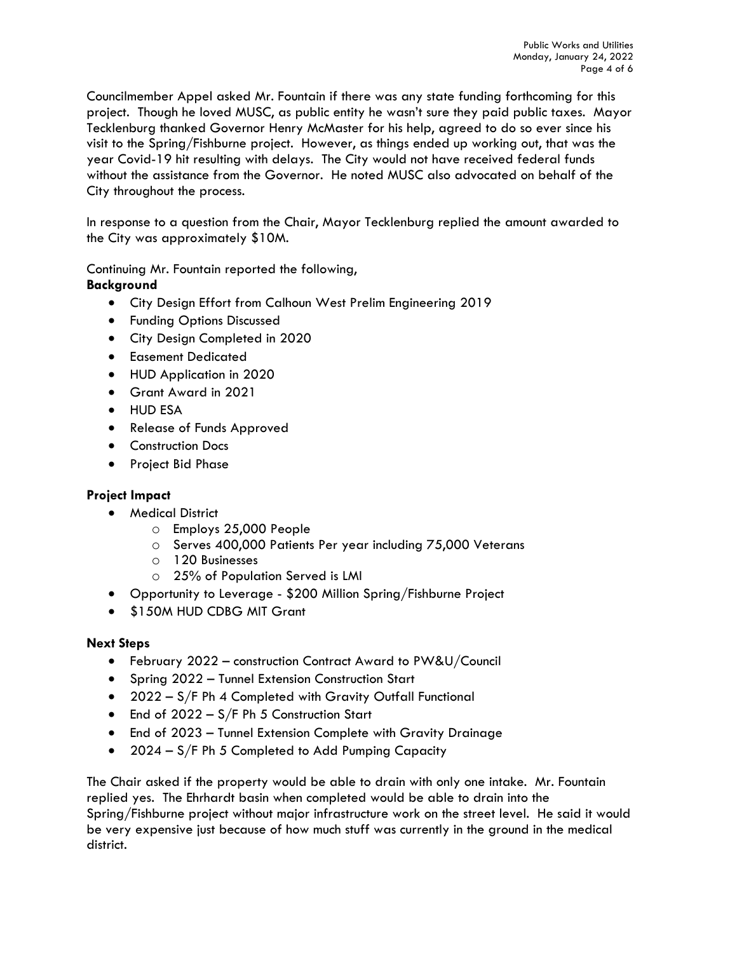Councilmember Appel asked Mr. Fountain if there was any state funding forthcoming for this project. Though he loved MUSC, as public entity he wasn't sure they paid public taxes. Mayor Tecklenburg thanked Governor Henry McMaster for his help, agreed to do so ever since his visit to the Spring/Fishburne project. However, as things ended up working out, that was the year Covid-19 hit resulting with delays. The City would not have received federal funds without the assistance from the Governor. He noted MUSC also advocated on behalf of the City throughout the process.

In response to a question from the Chair, Mayor Tecklenburg replied the amount awarded to the City was approximately \$10M.

Continuing Mr. Fountain reported the following,

## **Background**

- City Design Effort from Calhoun West Prelim Engineering 2019
- Funding Options Discussed
- City Design Completed in 2020
- Easement Dedicated
- HUD Application in 2020
- Grant Award in 2021
- HUD ESA
- Release of Funds Approved
- Construction Docs
- Project Bid Phase

## **Project Impact**

- Medical District
	- o Employs 25,000 People
	- o Serves 400,000 Patients Per year including 75,000 Veterans
	- o 120 Businesses
	- o 25% of Population Served is LMI
- Opportunity to Leverage \$200 Million Spring/Fishburne Project
- \$150M HUD CDBG MIT Grant

## **Next Steps**

- February 2022 construction Contract Award to PW&U/Council
- Spring 2022 Tunnel Extension Construction Start
- 2022 S/F Ph 4 Completed with Gravity Outfall Functional
- End of  $2022 S/F$  Ph 5 Construction Start
- End of 2023 Tunnel Extension Complete with Gravity Drainage
- 2024  $S/F$  Ph 5 Completed to Add Pumping Capacity

The Chair asked if the property would be able to drain with only one intake. Mr. Fountain replied yes. The Ehrhardt basin when completed would be able to drain into the Spring/Fishburne project without major infrastructure work on the street level. He said it would be very expensive just because of how much stuff was currently in the ground in the medical district.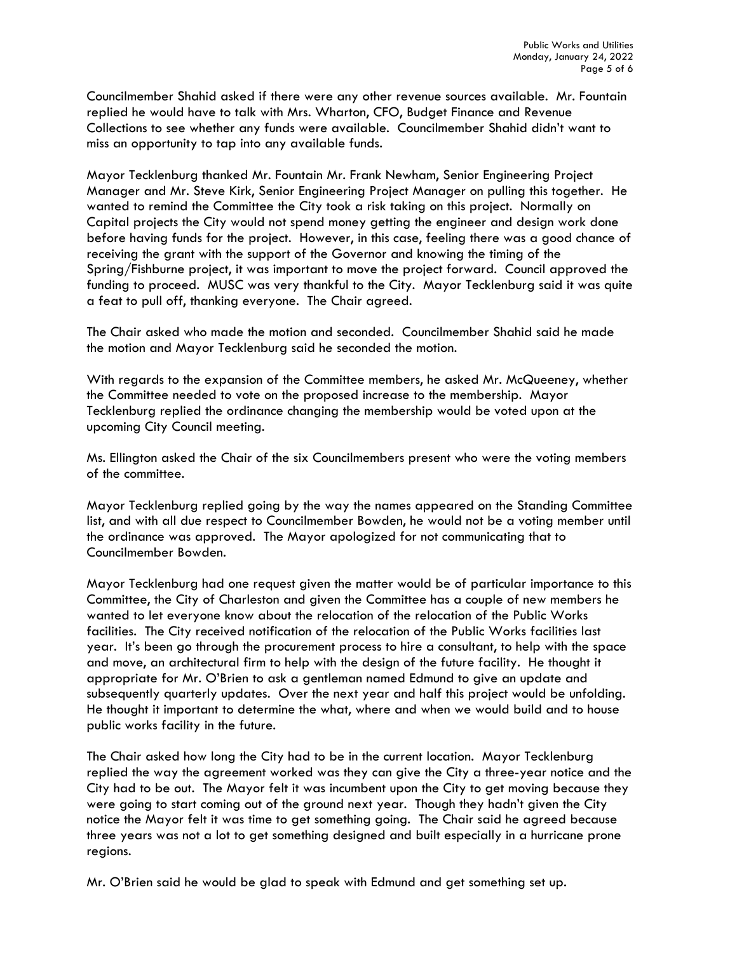Councilmember Shahid asked if there were any other revenue sources available. Mr. Fountain replied he would have to talk with Mrs. Wharton, CFO, Budget Finance and Revenue Collections to see whether any funds were available. Councilmember Shahid didn't want to miss an opportunity to tap into any available funds.

Mayor Tecklenburg thanked Mr. Fountain Mr. Frank Newham, Senior Engineering Project Manager and Mr. Steve Kirk, Senior Engineering Project Manager on pulling this together. He wanted to remind the Committee the City took a risk taking on this project. Normally on Capital projects the City would not spend money getting the engineer and design work done before having funds for the project. However, in this case, feeling there was a good chance of receiving the grant with the support of the Governor and knowing the timing of the Spring/Fishburne project, it was important to move the project forward. Council approved the funding to proceed. MUSC was very thankful to the City. Mayor Tecklenburg said it was quite a feat to pull off, thanking everyone. The Chair agreed.

The Chair asked who made the motion and seconded. Councilmember Shahid said he made the motion and Mayor Tecklenburg said he seconded the motion.

With regards to the expansion of the Committee members, he asked Mr. McQueeney, whether the Committee needed to vote on the proposed increase to the membership. Mayor Tecklenburg replied the ordinance changing the membership would be voted upon at the upcoming City Council meeting.

Ms. Ellington asked the Chair of the six Councilmembers present who were the voting members of the committee.

Mayor Tecklenburg replied going by the way the names appeared on the Standing Committee list, and with all due respect to Councilmember Bowden, he would not be a voting member until the ordinance was approved. The Mayor apologized for not communicating that to Councilmember Bowden.

Mayor Tecklenburg had one request given the matter would be of particular importance to this Committee, the City of Charleston and given the Committee has a couple of new members he wanted to let everyone know about the relocation of the relocation of the Public Works facilities. The City received notification of the relocation of the Public Works facilities last year. It's been go through the procurement process to hire a consultant, to help with the space and move, an architectural firm to help with the design of the future facility. He thought it appropriate for Mr. O'Brien to ask a gentleman named Edmund to give an update and subsequently quarterly updates. Over the next year and half this project would be unfolding. He thought it important to determine the what, where and when we would build and to house public works facility in the future.

The Chair asked how long the City had to be in the current location. Mayor Tecklenburg replied the way the agreement worked was they can give the City a three-year notice and the City had to be out. The Mayor felt it was incumbent upon the City to get moving because they were going to start coming out of the ground next year. Though they hadn't given the City notice the Mayor felt it was time to get something going. The Chair said he agreed because three years was not a lot to get something designed and built especially in a hurricane prone regions.

Mr. O'Brien said he would be glad to speak with Edmund and get something set up.